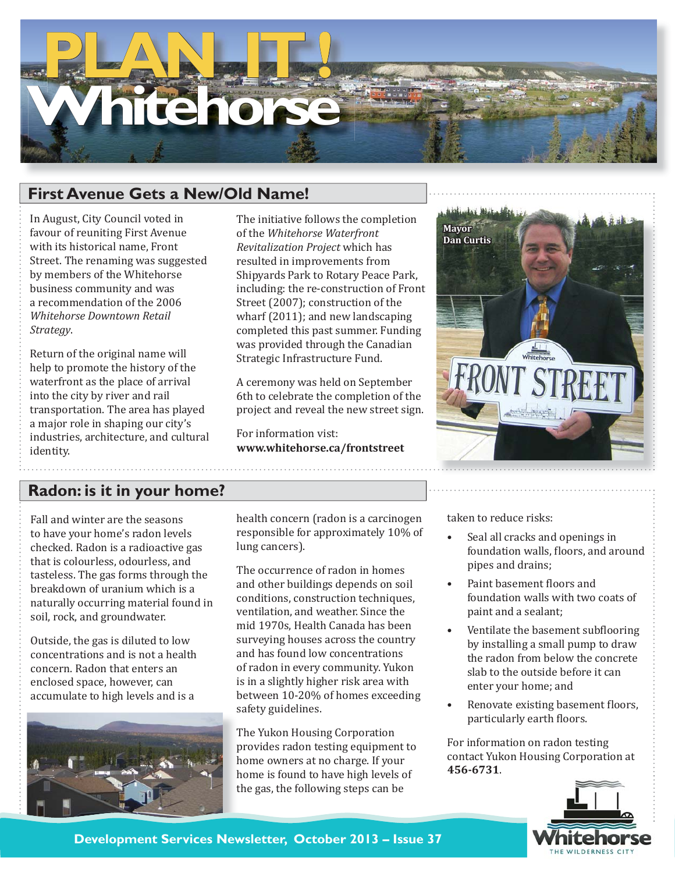# **hitehorse**

### **First Avenue Gets a New/Old Name!**

In August, City Council voted in favour of reuniting First Avenue with its historical name, Front Street. The renaming was suggested by members of the Whitehorse business community and was a recommendation of the 2006 *Whitehorse Downtown Retail Strategy*.

Return of the original name will help to promote the history of the waterfront as the place of arrival into the city by river and rail transportation. The area has played a major role in shaping our city's industries, architecture, and cultural identity.

The initiative follows the completion of the *Whitehorse Waterfront Revitalization Project* which has resulted in improvements from Shipyards Park to Rotary Peace Park, including: the re-construction of Front Street (2007); construction of the wharf (2011); and new landscaping completed this past summer. Funding was provided through the Canadian Strategic Infrastructure Fund.

A ceremony was held on September 6th to celebrate the completion of the project and reveal the new street sign.

For information vist: **www.whitehorse.ca/frontstreet**



## **Radon: is it in your home?**

Fall and winter are the seasons to have your home's radon levels checked. Radon is a radioactive gas that is colourless, odourless, and tasteless. The gas forms through the breakdown of uranium which is a naturally occurring material found in soil, rock, and groundwater.

Outside, the gas is diluted to low concentrations and is not a health concern. Radon that enters an enclosed space, however, can accumulate to high levels and is a



health concern (radon is a carcinogen responsible for approximately 10% of lung cancers).

The occurrence of radon in homes and other buildings depends on soil conditions, construction techniques, ventilation, and weather. Since the mid 1970s, Health Canada has been surveying houses across the country and has found low concentrations of radon in every community. Yukon is in a slightly higher risk area with between 10-20% of homes exceeding safety guidelines.

The Yukon Housing Corporation provides radon testing equipment to home owners at no charge. If your home is found to have high levels of the gas, the following steps can be

taken to reduce risks:

- Seal all cracks and openings in foundation walls, floors, and around pipes and drains; •
- Paint basement floors and foundation walls with two coats of paint and a sealant; •
- Ventilate the basement subflooring by installing a small pump to draw the radon from below the concrete slab to the outside before it can enter your home; and •
- Renovate existing basement floors, particularly earth floors. •

For information on radon testing contact Yukon Housing Corporation at **456-6731**.